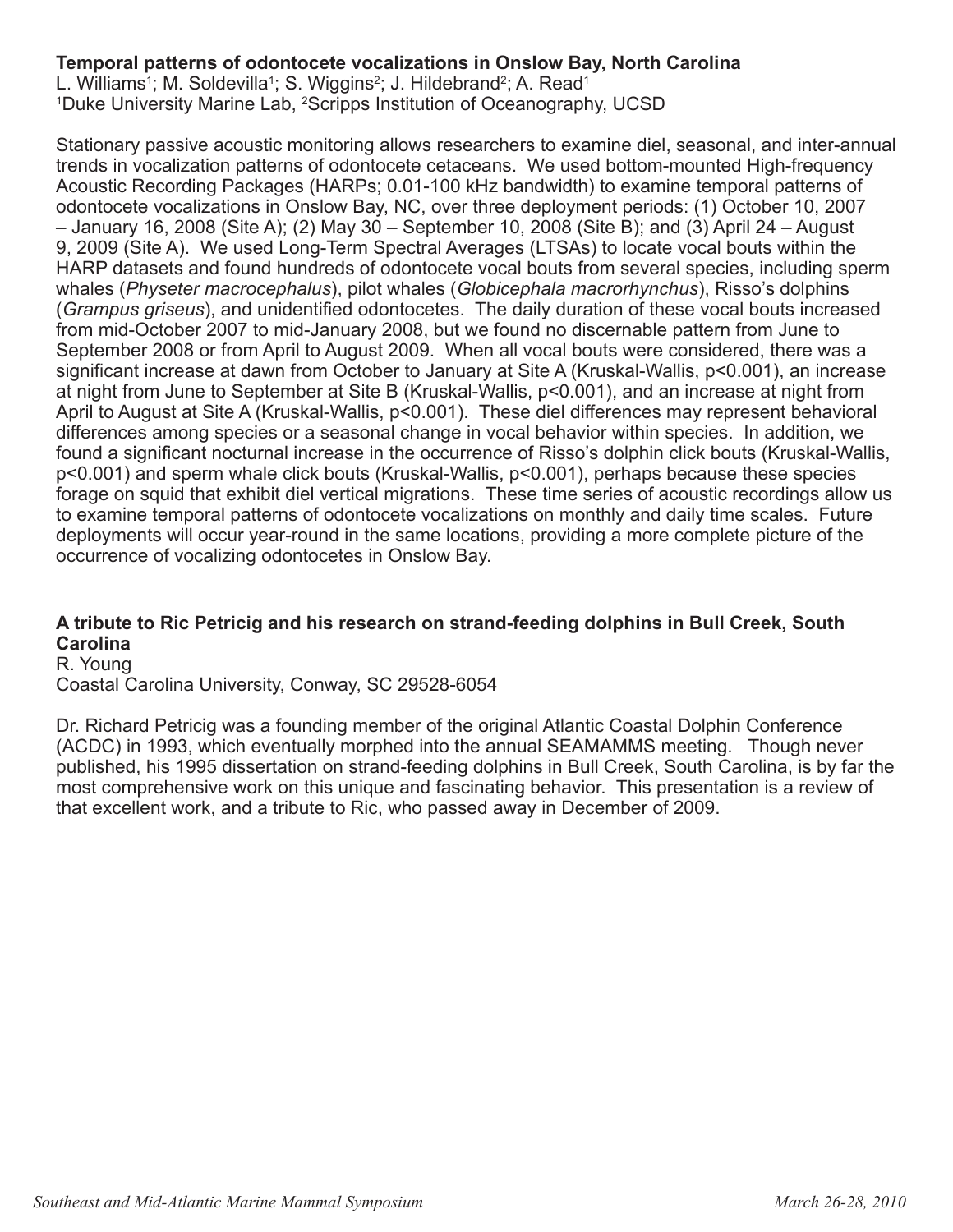#### **Temporal patterns of odontocete vocalizations in Onslow Bay, North Carolina**

L. Williams<sup>1</sup>; M. Soldevilla<sup>1</sup>; S. Wiggins<sup>2</sup>; J. Hildebrand<sup>2</sup>; A. Read<sup>1</sup> <sup>1</sup>Duke University Marine Lab, <sup>2</sup>Scripps Institution of Oceanography, UCSD

Stationary passive acoustic monitoring allows researchers to examine diel, seasonal, and inter-annual trends in vocalization patterns of odontocete cetaceans. We used bottom-mounted High-frequency Acoustic Recording Packages (HARPs; 0.01-100 kHz bandwidth) to examine temporal patterns of odontocete vocalizations in Onslow Bay, NC, over three deployment periods: (1) October 10, 2007 – January 16, 2008 (Site A); (2) May 30 – September 10, 2008 (Site B); and (3) April 24 – August 9, 2009 (Site A). We used Long-Term Spectral Averages (LTSAs) to locate vocal bouts within the HARP datasets and found hundreds of odontocete vocal bouts from several species, including sperm whales (*Physeter macrocephalus*), pilot whales (*Globicephala macrorhynchus*), Risso's dolphins (*Grampus griseus*), and unidentified odontocetes. The daily duration of these vocal bouts increased from mid-October 2007 to mid-January 2008, but we found no discernable pattern from June to September 2008 or from April to August 2009. When all vocal bouts were considered, there was a significant increase at dawn from October to January at Site A (Kruskal-Wallis, p<0.001), an increase at night from June to September at Site B (Kruskal-Wallis, p<0.001), and an increase at night from April to August at Site A (Kruskal-Wallis, p<0.001). These diel differences may represent behavioral differences among species or a seasonal change in vocal behavior within species. In addition, we found a significant nocturnal increase in the occurrence of Risso's dolphin click bouts (Kruskal-Wallis, p<0.001) and sperm whale click bouts (Kruskal-Wallis, p<0.001), perhaps because these species forage on squid that exhibit diel vertical migrations. These time series of acoustic recordings allow us to examine temporal patterns of odontocete vocalizations on monthly and daily time scales. Future deployments will occur year-round in the same locations, providing a more complete picture of the occurrence of vocalizing odontocetes in Onslow Bay.

#### **A tribute to Ric Petricig and his research on strand-feeding dolphins in Bull Creek, South Carolina**

R. Young

Coastal Carolina University, Conway, SC 29528-6054

Dr. Richard Petricig was a founding member of the original Atlantic Coastal Dolphin Conference (ACDC) in 1993, which eventually morphed into the annual SEAMAMMS meeting. Though never published, his 1995 dissertation on strand-feeding dolphins in Bull Creek, South Carolina, is by far the most comprehensive work on this unique and fascinating behavior. This presentation is a review of that excellent work, and a tribute to Ric, who passed away in December of 2009.